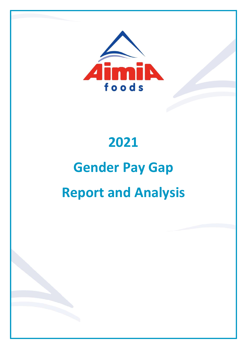

# 2021

# Gender Pay Gap Report and Analysis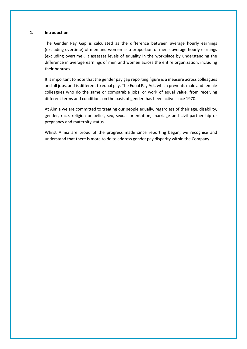#### 1. Introduction

The Gender Pay Gap is calculated as the difference between average hourly earnings (excluding overtime) of men and women as a proportion of men's average hourly earnings (excluding overtime). It assesses levels of equality in the workplace by understanding the difference in average earnings of men and women across the entire organization, including their bonuses.

It is important to note that the gender pay gap reporting figure is a measure across colleagues and all jobs, and is different to equal pay. The Equal Pay Act, which prevents male and female colleagues who do the same or comparable jobs, or work of equal value, from receiving different terms and conditions on the basis of gender, has been active since 1970.

At Aimia we are committed to treating our people equally, regardless of their age, disability, gender, race, religion or belief, sex, sexual orientation, marriage and civil partnership or pregnancy and maternity status.

Whilst Aimia are proud of the progress made since reporting began, we recognise and understand that there is more to do to address gender pay disparity within the Company.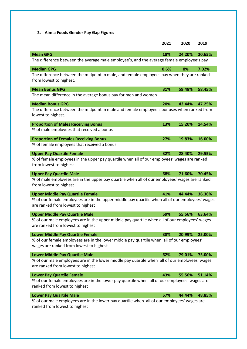2. Aimia Foods Gender Pay Gap Figures

|                                                                                                                                      | 2021 | 2020   | 2019   |
|--------------------------------------------------------------------------------------------------------------------------------------|------|--------|--------|
| <b>Mean GPG</b>                                                                                                                      | 18%  | 24.20% | 20.65% |
| The difference between the average male employee's, and the average female employee's pay                                            |      |        |        |
| <b>Median GPG</b>                                                                                                                    | 0.6% | 0%     | 7.02%  |
| The difference between the midpoint in male, and female employees pay when they are ranked<br>from lowest to highest.                |      |        |        |
| <b>Mean Bonus GPG</b>                                                                                                                | 31%  | 59.48% | 58.45% |
| The mean difference in the average bonus pay for men and women                                                                       |      |        |        |
| <b>Median Bonus GPG</b>                                                                                                              | 20%  | 42.44% | 47.25% |
| The difference between the midpoint in male and female employee's bonuses when ranked from<br>lowest to highest.                     |      |        |        |
| <b>Proportion of Males Receiving Bonus</b>                                                                                           | 13%  | 15.20% | 14.54% |
| % of male employees that received a bonus                                                                                            |      |        |        |
| <b>Proportion of Females Receiving Bonus</b>                                                                                         | 27%  | 19.83% | 16.00% |
| % of female employees that received a bonus                                                                                          |      |        |        |
| <b>Upper Pay Quartile Female</b>                                                                                                     | 32%  | 28.40% | 29.55% |
| % of female employees in the upper pay quartile when all of our employees' wages are ranked<br>from lowest to highest                |      |        |        |
| <b>Upper Pay Quartile Male</b>                                                                                                       | 68%  | 71.60% | 70.45% |
| % of male employees are in the upper pay quartile when all of our employees' wages are ranked<br>from lowest to highest              |      |        |        |
| <b>Upper Middle Pay Quartile Female</b>                                                                                              | 41%  | 44.44% | 36.36% |
| % of our female employees are in the upper middle pay quartile when all of our employees' wages<br>are ranked from lowest to highest |      |        |        |
| <b>Upper Middle Pay Quartile Male</b>                                                                                                | 59%  | 55.56% | 63.64% |
| % of our male employees are in the upper middle pay quartile when all of our employees' wages<br>are ranked from lowest to highest   |      |        |        |
| <b>Lower Middle Pay Quartile Female</b>                                                                                              | 38%  | 20.99% | 25.00% |
| % of our female employees are in the lower middle pay quartile when all of our employees'<br>wages are ranked from lowest to highest |      |        |        |
| <b>Lower Middle Pay Quartile Male</b>                                                                                                | 62%  | 79.01% | 75.00% |
| % of our male employees are in the lower middle pay quartile when all of our employees' wages<br>are ranked from lowest to highest   |      |        |        |
| <b>Lower Pay Quartile Female</b>                                                                                                     | 43%  | 55.56% | 51.14% |
| % of our female employees are in the lower pay quartile when all of our employees' wages are<br>ranked from lowest to highest        |      |        |        |
| <b>Lower Pay Quartile Male</b>                                                                                                       | 57%  | 44.44% | 48.85% |
| % of our male employees are in the lower pay quartile when all of our employees' wages are<br>ranked from lowest to highest          |      |        |        |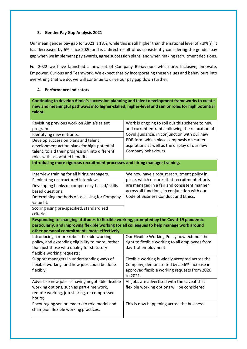### 3. Gender Pay Gap Analysis 2021

Our mean gender pay gap for 2021 is 18%, while this is still higher than the national level of 7.9%[1], it has decreased by 6% since 2020 and is a direct result of us consistently considering the gender pay gap when we implement pay awards, agree succession plans, and when making recruitment decisions.

For 2022 we have launched a new set of Company Behaviours which are: Inclusive, Innovate, Empower, Curious and Teamwork. We expect that by incorporating these values and behaviours into everything that we do, we will continue to drive our pay gap down further.

## 4. Performance Indicators

Continuing to develop Aimia's succession planning and talent development frameworks to create new and meaningful pathways into higher-skilled, higher-level and senior roles for high potential talent.

| Revisiting previous work on Aimia's talent                                                 | Work is ongoing to roll out this scheme to new   |  |  |  |
|--------------------------------------------------------------------------------------------|--------------------------------------------------|--|--|--|
| program.                                                                                   | and current entrants following the relaxation of |  |  |  |
| Identifying new entrants.                                                                  | Covid guidance, in conjunction with our new      |  |  |  |
| Develop succession plans and talent                                                        | PDR form which places emphasis on career         |  |  |  |
| development action plans for high-potential                                                | aspirations as well as the display of our new    |  |  |  |
| talent, to aid their progression into different                                            | Company behaviours                               |  |  |  |
| roles with associated benefits.                                                            |                                                  |  |  |  |
| Introducing more rigorous recruitment processes and hiring manager training.               |                                                  |  |  |  |
|                                                                                            |                                                  |  |  |  |
| Interview training for all hiring managers.                                                | We now have a robust recruitment policy in       |  |  |  |
| Eliminating unstructured interviews.                                                       | place, which ensures that recruitment efforts    |  |  |  |
| Developing banks of competency-based/ skills-                                              | are managed in a fair and consistent manner      |  |  |  |
| based questions.                                                                           | across all functions, in conjunction with our    |  |  |  |
| Determining methods of assessing for Company                                               | Code of Business Conduct and Ethics.             |  |  |  |
| value fit.                                                                                 |                                                  |  |  |  |
| Scoring using pre-specified, standardized                                                  |                                                  |  |  |  |
| criteria.                                                                                  |                                                  |  |  |  |
|                                                                                            |                                                  |  |  |  |
| Responding to changing attitudes to flexible working, prompted by the Covid-19 pandemic    |                                                  |  |  |  |
| particularly, and improving flexible working for all colleagues to help manage work around |                                                  |  |  |  |
| other personal commitments more effectively.                                               |                                                  |  |  |  |
| Introducing a more robust flexible working                                                 | Our Flexible Working Policy now extends the      |  |  |  |
| policy, and extending eligibility to more, rather                                          | right to flexible working to all employees from  |  |  |  |
| than just those who qualify for statutory                                                  | day 1 of employment                              |  |  |  |
| flexible working requests;                                                                 |                                                  |  |  |  |
| Support managers in understanding ways of                                                  | Flexible working is widely accepted across the   |  |  |  |
| flexible working, and how jobs could be done                                               | Company, demonstrated by a 56% increase in       |  |  |  |
| flexibly;                                                                                  | approved flexible working requests from 2020     |  |  |  |
|                                                                                            | to 2021.                                         |  |  |  |
| Advertise new jobs as having negotiable flexible                                           | All jobs are advertised with the caveat that     |  |  |  |
| working options, such as part-time work,                                                   | flexible working options will be considered      |  |  |  |
| remote working, job-sharing, or compressed                                                 |                                                  |  |  |  |
| hours;                                                                                     |                                                  |  |  |  |
| Encouraging senior leaders to role model and                                               | This is now happening across the business        |  |  |  |
| champion flexible working practices.                                                       |                                                  |  |  |  |